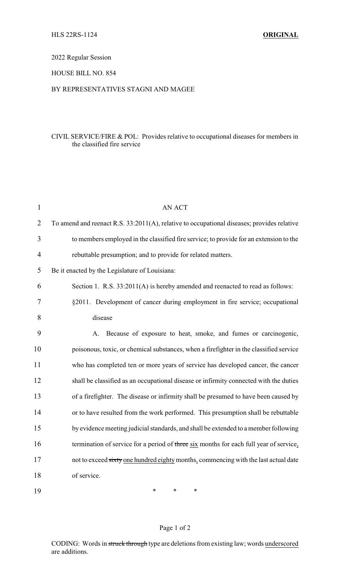## 2022 Regular Session

### HOUSE BILL NO. 854

### BY REPRESENTATIVES STAGNI AND MAGEE

### CIVIL SERVICE/FIRE & POL: Provides relative to occupational diseases for members in the classified fire service

| $\mathbf{1}$   | AN ACT                                                                                     |
|----------------|--------------------------------------------------------------------------------------------|
| $\overline{2}$ | To amend and reenact R.S. 33:2011(A), relative to occupational diseases; provides relative |
| 3              | to members employed in the classified fire service; to provide for an extension to the     |
| $\overline{4}$ | rebuttable presumption; and to provide for related matters.                                |
| 5              | Be it enacted by the Legislature of Louisiana:                                             |
| 6              | Section 1. R.S. 33:2011(A) is hereby amended and reenacted to read as follows:             |
| 7              | §2011. Development of cancer during employment in fire service; occupational               |
| 8              | disease                                                                                    |
| 9              | Because of exposure to heat, smoke, and fumes or carcinogenic,<br>A.                       |
| 10             | poisonous, toxic, or chemical substances, when a firefighter in the classified service     |
| 11             | who has completed ten or more years of service has developed cancer, the cancer            |
| 12             | shall be classified as an occupational disease or infirmity connected with the duties      |
| 13             | of a firefighter. The disease or infirmity shall be presumed to have been caused by        |
| 14             | or to have resulted from the work performed. This presumption shall be rebuttable          |
| 15             | by evidence meeting judicial standards, and shall be extended to a member following        |
| 16             | termination of service for a period of three six months for each full year of service,     |
| 17             | not to exceed sixty one hundred eighty months, commencing with the last actual date        |
| 18             | of service.                                                                                |
| 19             | $\ast$<br>$\ast$<br>$\ast$                                                                 |

# Page 1 of 2

CODING: Words in struck through type are deletions from existing law; words underscored are additions.